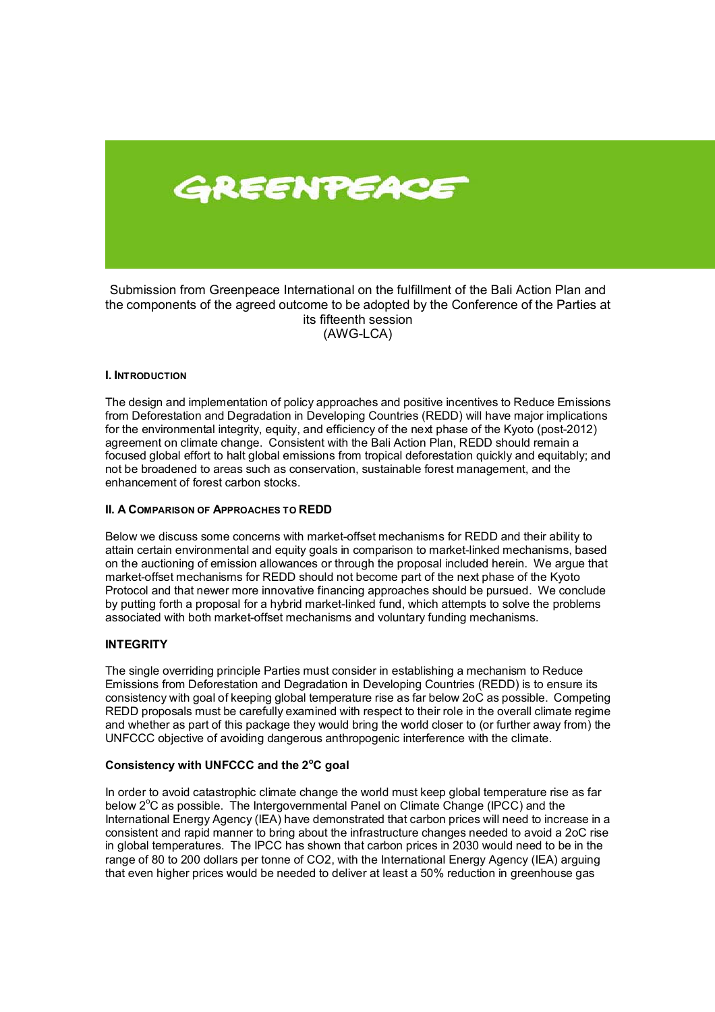

Submission from Greenpeace International on the fulfillment of the Bali Action Plan and the components of the agreed outcome to be adopted by the Conference of the Parties at its fifteenth session (AWG-LCA)

# **I. INTRODUCTION**

The design and implementation of policy approaches and positive incentives to Reduce Emissions from Deforestation and Degradation in Developing Countries (REDD) will have major implications for the environmental integrity, equity, and efficiency of the next phase of the Kyoto (post-2012) agreement on climate change. Consistent with the Bali Action Plan, REDD should remain a focused global effort to halt global emissions from tropical deforestation quickly and equitably; and not be broadened to areas such as conservation, sustainable forest management, and the enhancement of forest carbon stocks.

# **II. A COMPARISON OF APPROACHES TO REDD**

Below we discuss some concerns with market-offset mechanisms for REDD and their ability to attain certain environmental and equity goals in comparison to market-linked mechanisms, based on the auctioning of emission allowances or through the proposal included herein. We argue that market-offset mechanisms for REDD should not become part of the next phase of the Kyoto Protocol and that newer more innovative financing approaches should be pursued. We conclude by putting forth a proposal for a hybrid market-linked fund, which attempts to solve the problems associated with both market-offset mechanisms and voluntary funding mechanisms.

# **INTEGRITY**

The single overriding principle Parties must consider in establishing a mechanism to Reduce Emissions from Deforestation and Degradation in Developing Countries (REDD) is to ensure its consistency with goal of keeping global temperature rise as far below 2oC as possible. Competing REDD proposals must be carefully examined with respect to their role in the overall climate regime and whether as part of this package they would bring the world closer to (or further away from) the UNFCCC objective of avoiding dangerous anthropogenic interference with the climate.

# **Consistency with UNFCCC and the 2<sup>o</sup> C goal**

In order to avoid catastrophic climate change the world must keep global temperature rise as far below  $2^{\circ}$ C as possible. The Intergovernmental Panel on Climate Change (IPCC) and the International Energy Agency (IEA) have demonstrated that carbon prices will need to increase in a consistent and rapid manner to bring about the infrastructure changes needed to avoid a 2oC rise in global temperatures. The IPCC has shown that carbon prices in 2030 would need to be in the range of 80 to 200 dollars per tonne of CO2, with the International Energy Agency (IEA) arguing that even higher prices would be needed to deliver at least a 50% reduction in greenhouse gas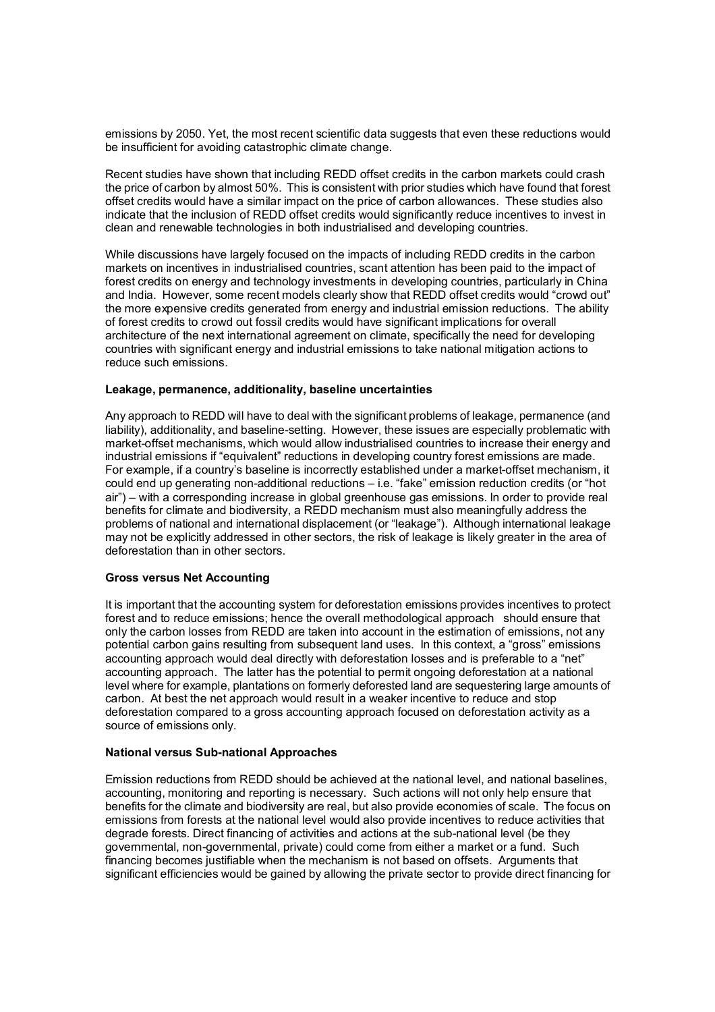emissions by 2050. Yet, the most recent scientific data suggests that even these reductions would be insufficient for avoiding catastrophic climate change.

Recent studies have shown that including REDD offset credits in the carbon markets could crash the price of carbon by almost 50%. This is consistent with prior studies which have found that forest offset credits would have a similar impact on the price of carbon allowances. These studies also indicate that the inclusion of REDD offset credits would significantly reduce incentives to invest in clean and renewable technologies in both industrialised and developing countries.

While discussions have largely focused on the impacts of including REDD credits in the carbon markets on incentives in industrialised countries, scant attention has been paid to the impact of forest credits on energy and technology investments in developing countries, particularly in China and India. However, some recent models clearly show that REDD offset credits would "crowd out" the more expensive credits generated from energy and industrial emission reductions. The ability of forest credits to crowd out fossil credits would have significant implications for overall architecture of the next international agreement on climate, specifically the need for developing countries with significant energy and industrial emissions to take national mitigation actions to reduce such emissions.

# **Leakage, permanence, additionality, baseline uncertainties**

Any approach to REDD will have to deal with the significant problems of leakage, permanence (and liability), additionality, and baseline-setting. However, these issues are especially problematic with market-offset mechanisms, which would allow industrialised countries to increase their energy and industrial emissions if "equivalent" reductions in developing country forest emissions are made. For example, if a countryís baseline is incorrectly established under a market-offset mechanism, it could end up generating non-additional reductions  $-$  i.e. "fake" emission reduction credits (or "hot air") – with a corresponding increase in global greenhouse gas emissions. In order to provide real benefits for climate and biodiversity, a REDD mechanism must also meaningfully address the problems of national and international displacement (or "leakage"). Although international leakage may not be explicitly addressed in other sectors, the risk of leakage is likely greater in the area of deforestation than in other sectors.

#### **Gross versus Net Accounting**

It is important that the accounting system for deforestation emissions provides incentives to protect forest and to reduce emissions; hence the overall methodological approach should ensure that only the carbon losses from REDD are taken into account in the estimation of emissions, not any potential carbon gains resulting from subsequent land uses. In this context, a "gross" emissions accounting approach would deal directly with deforestation losses and is preferable to a "net" accounting approach. The latter has the potential to permit ongoing deforestation at a national level where for example, plantations on formerly deforested land are sequestering large amounts of carbon. At best the net approach would result in a weaker incentive to reduce and stop deforestation compared to a gross accounting approach focused on deforestation activity as a source of emissions only.

#### **National versus Sub-national Approaches**

Emission reductions from REDD should be achieved at the national level, and national baselines, accounting, monitoring and reporting is necessary. Such actions will not only help ensure that benefits for the climate and biodiversity are real, but also provide economies of scale. The focus on emissions from forests at the national level would also provide incentives to reduce activities that degrade forests. Direct financing of activities and actions at the sub-national level (be they governmental, non-governmental, private) could come from either a market or a fund. Such financing becomes justifiable when the mechanism is not based on offsets. Arguments that significant efficiencies would be gained by allowing the private sector to provide direct financing for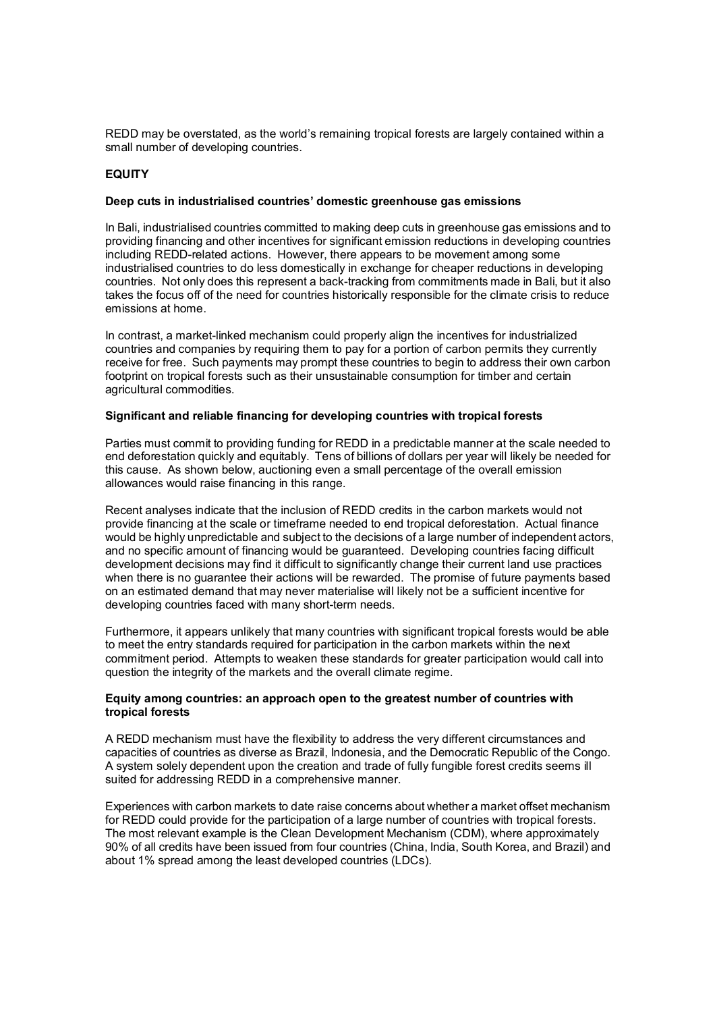REDD may be overstated, as the world's remaining tropical forests are largely contained within a small number of developing countries.

### **EQUITY**

#### Deep cuts in industrialised countries' domestic greenhouse gas emissions

In Bali, industrialised countries committed to making deep cuts in greenhouse gas emissions and to providing financing and other incentives for significant emission reductions in developing countries including REDD-related actions. However, there appears to be movement among some industrialised countries to do less domestically in exchange for cheaper reductions in developing countries. Not only does this represent a back-tracking from commitments made in Bali, but it also takes the focus off of the need for countries historically responsible for the climate crisis to reduce emissions at home.

In contrast, a market-linked mechanism could properly align the incentives for industrialized countries and companies by requiring them to pay for a portion of carbon permits they currently receive for free. Such payments may prompt these countries to begin to address their own carbon footprint on tropical forests such as their unsustainable consumption for timber and certain agricultural commodities.

# **Significant and reliable financing for developing countries with tropical forests**

Parties must commit to providing funding for REDD in a predictable manner at the scale needed to end deforestation quickly and equitably. Tens of billions of dollars per year will likely be needed for this cause. As shown below, auctioning even a small percentage of the overall emission allowances would raise financing in this range.

Recent analyses indicate that the inclusion of REDD credits in the carbon markets would not provide financing at the scale or timeframe needed to end tropical deforestation. Actual finance would be highly unpredictable and subject to the decisions of a large number of independent actors, and no specific amount of financing would be guaranteed. Developing countries facing difficult development decisions may find it difficult to significantly change their current land use practices when there is no guarantee their actions will be rewarded. The promise of future payments based on an estimated demand that may never materialise will likely not be a sufficient incentive for developing countries faced with many short-term needs.

Furthermore, it appears unlikely that many countries with significant tropical forests would be able to meet the entry standards required for participation in the carbon markets within the next commitment period. Attempts to weaken these standards for greater participation would call into question the integrity of the markets and the overall climate regime.

#### **Equity among countries: an approach open to the greatest number of countries with tropical forests**

A REDD mechanism must have the flexibility to address the very different circumstances and capacities of countries as diverse as Brazil, Indonesia, and the Democratic Republic of the Congo. A system solely dependent upon the creation and trade of fully fungible forest credits seems ill suited for addressing REDD in a comprehensive manner.

Experiences with carbon markets to date raise concerns about whether a market offset mechanism for REDD could provide for the participation of a large number of countries with tropical forests. The most relevant example is the Clean Development Mechanism (CDM), where approximately 90% of all credits have been issued from four countries (China, India, South Korea, and Brazil) and about 1% spread among the least developed countries (LDCs).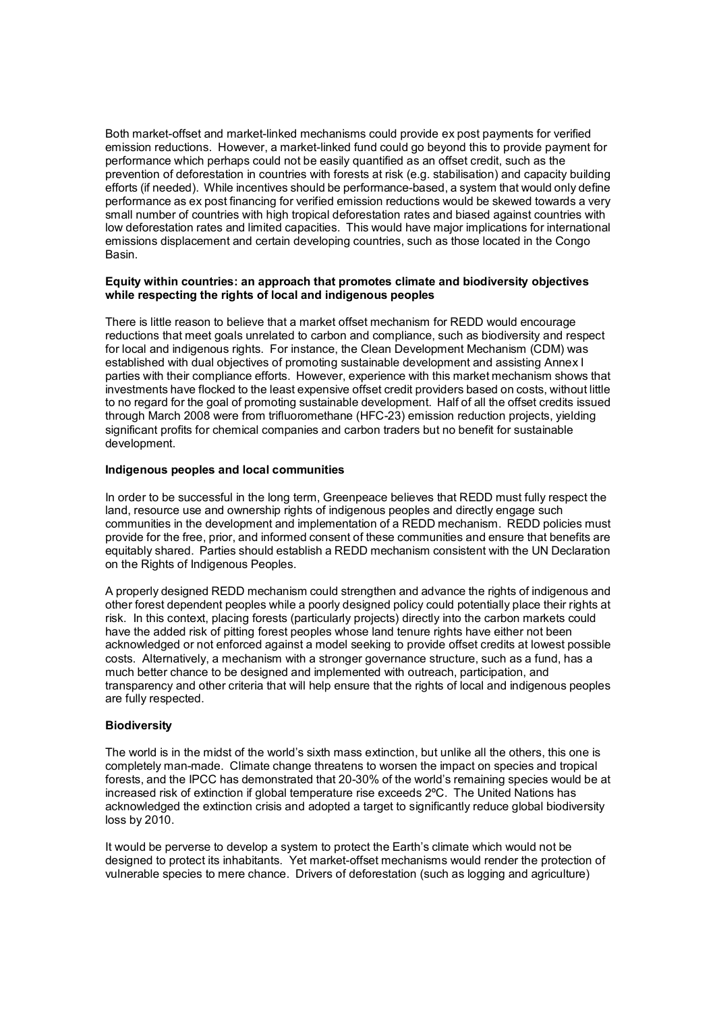Both market-offset and market-linked mechanisms could provide ex post payments for verified emission reductions. However, a market-linked fund could go beyond this to provide payment for performance which perhaps could not be easily quantified as an offset credit, such as the prevention of deforestation in countries with forests at risk (e.g. stabilisation) and capacity building efforts (if needed). While incentives should be performance-based, a system that would only define performance as ex post financing for verified emission reductions would be skewed towards a very small number of countries with high tropical deforestation rates and biased against countries with low deforestation rates and limited capacities. This would have major implications for international emissions displacement and certain developing countries, such as those located in the Congo Basin.

### **Equity within countries: an approach that promotes climate and biodiversity objectives while respecting the rights of local and indigenous peoples**

There is little reason to believe that a market offset mechanism for REDD would encourage reductions that meet goals unrelated to carbon and compliance, such as biodiversity and respect for local and indigenous rights. For instance, the Clean Development Mechanism (CDM) was established with dual objectives of promoting sustainable development and assisting Annex I parties with their compliance efforts. However, experience with this market mechanism shows that investments have flocked to the least expensive offset credit providers based on costs, without little to no regard for the goal of promoting sustainable development. Half of all the offset credits issued through March 2008 were from trifluoromethane (HFC-23) emission reduction projects, yielding significant profits for chemical companies and carbon traders but no benefit for sustainable development.

# **Indigenous peoples and local communities**

In order to be successful in the long term, Greenpeace believes that REDD must fully respect the land, resource use and ownership rights of indigenous peoples and directly engage such communities in the development and implementation of a REDD mechanism. REDD policies must provide for the free, prior, and informed consent of these communities and ensure that benefits are equitably shared. Parties should establish a REDD mechanism consistent with the UN Declaration on the Rights of Indigenous Peoples.

A properly designed REDD mechanism could strengthen and advance the rights of indigenous and other forest dependent peoples while a poorly designed policy could potentially place their rights at risk. In this context, placing forests (particularly projects) directly into the carbon markets could have the added risk of pitting forest peoples whose land tenure rights have either not been acknowledged or not enforced against a model seeking to provide offset credits at lowest possible costs. Alternatively, a mechanism with a stronger governance structure, such as a fund, has a much better chance to be designed and implemented with outreach, participation, and transparency and other criteria that will help ensure that the rights of local and indigenous peoples are fully respected.

# **Biodiversity**

The world is in the midst of the world's sixth mass extinction, but unlike all the others, this one is completely man-made. Climate change threatens to worsen the impact on species and tropical forests, and the IPCC has demonstrated that 20-30% of the world's remaining species would be at increased risk of extinction if global temperature rise exceeds 2ºC. The United Nations has acknowledged the extinction crisis and adopted a target to significantly reduce global biodiversity loss by 2010.

It would be perverse to develop a system to protect the Earth's climate which would not be designed to protect its inhabitants. Yet market-offset mechanisms would render the protection of vulnerable species to mere chance. Drivers of deforestation (such as logging and agriculture)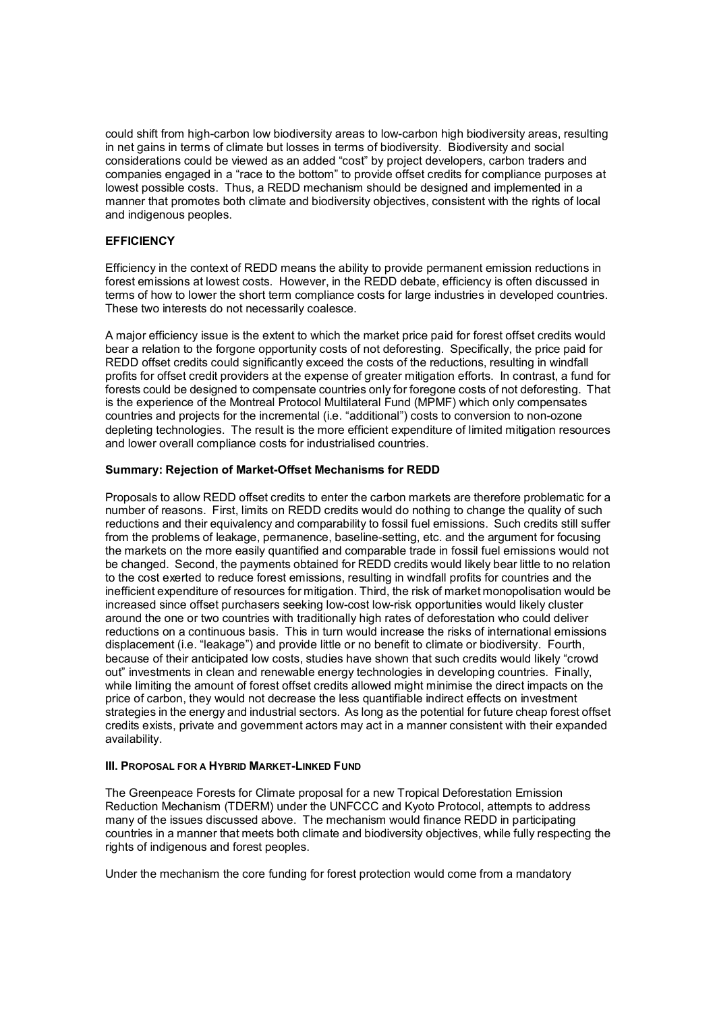could shift from high-carbon low biodiversity areas to low-carbon high biodiversity areas, resulting in net gains in terms of climate but losses in terms of biodiversity. Biodiversity and social considerations could be viewed as an added "cost" by project developers, carbon traders and companies engaged in a "race to the bottom" to provide offset credits for compliance purposes at lowest possible costs. Thus, a REDD mechanism should be designed and implemented in a manner that promotes both climate and biodiversity objectives, consistent with the rights of local and indigenous peoples.

# **EFFICIENCY**

Efficiency in the context of REDD means the ability to provide permanent emission reductions in forest emissions at lowest costs. However, in the REDD debate, efficiency is often discussed in terms of how to lower the short term compliance costs for large industries in developed countries. These two interests do not necessarily coalesce.

A major efficiency issue is the extent to which the market price paid for forest offset credits would bear a relation to the forgone opportunity costs of not deforesting. Specifically, the price paid for REDD offset credits could significantly exceed the costs of the reductions, resulting in windfall profits for offset credit providers at the expense of greater mitigation efforts. In contrast, a fund for forests could be designed to compensate countries only for foregone costs of not deforesting. That is the experience of the Montreal Protocol Multilateral Fund (MPMF) which only compensates countries and projects for the incremental (i.e. "additional") costs to conversion to non-ozone depleting technologies. The result is the more efficient expenditure of limited mitigation resources and lower overall compliance costs for industrialised countries.

# **Summary: Rejection of Market-Offset Mechanisms for REDD**

Proposals to allow REDD offset credits to enter the carbon markets are therefore problematic for a number of reasons. First, limits on REDD credits would do nothing to change the quality of such reductions and their equivalency and comparability to fossil fuel emissions. Such credits still suffer from the problems of leakage, permanence, baseline-setting, etc. and the argument for focusing the markets on the more easily quantified and comparable trade in fossil fuel emissions would not be changed. Second, the payments obtained for REDD credits would likely bear little to no relation to the cost exerted to reduce forest emissions, resulting in windfall profits for countries and the inefficient expenditure of resources for mitigation. Third, the risk of market monopolisation would be increased since offset purchasers seeking low-cost low-risk opportunities would likely cluster around the one or two countries with traditionally high rates of deforestation who could deliver reductions on a continuous basis. This in turn would increase the risks of international emissions displacement (i.e. "leakage") and provide little or no benefit to climate or biodiversity. Fourth, because of their anticipated low costs, studies have shown that such credits would likely "crowd out" investments in clean and renewable energy technologies in developing countries. Finally, while limiting the amount of forest offset credits allowed might minimise the direct impacts on the price of carbon, they would not decrease the less quantifiable indirect effects on investment strategies in the energy and industrial sectors. As long as the potential for future cheap forest offset credits exists, private and government actors may act in a manner consistent with their expanded availability.

# **III. PROPOSAL FOR A HYBRID MARKET-LINKED FUND**

The Greenpeace Forests for Climate proposal for a new Tropical Deforestation Emission Reduction Mechanism (TDERM) under the UNFCCC and Kyoto Protocol, attempts to address many of the issues discussed above. The mechanism would finance REDD in participating countries in a manner that meets both climate and biodiversity objectives, while fully respecting the rights of indigenous and forest peoples.

Under the mechanism the core funding for forest protection would come from a mandatory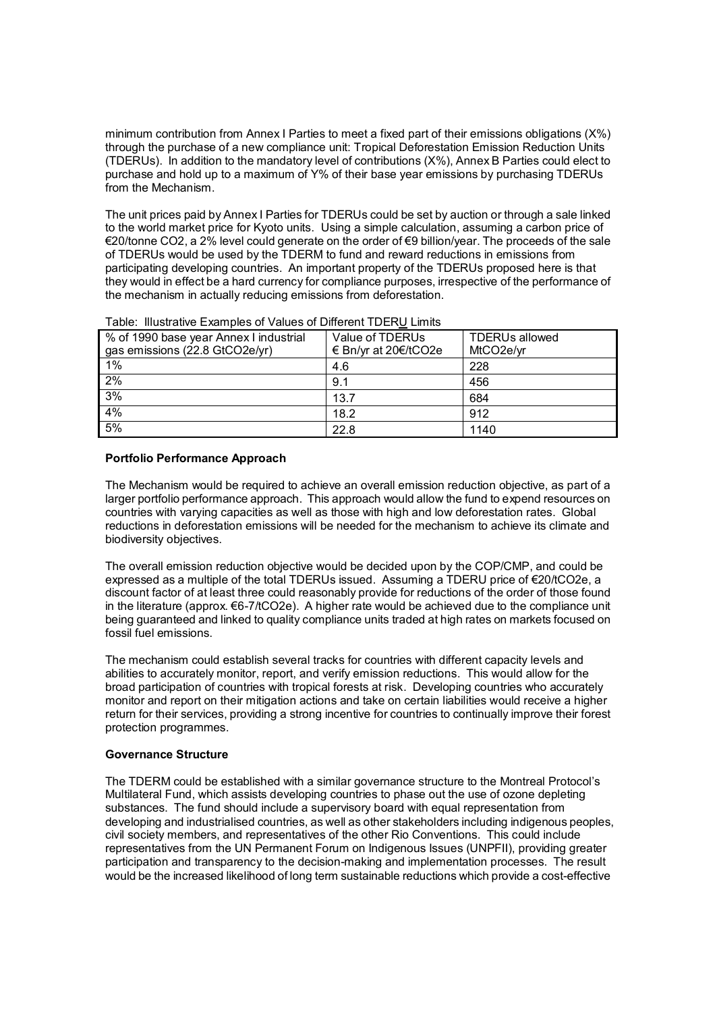minimum contribution from Annex I Parties to meet a fixed part of their emissions obligations (X%) through the purchase of a new compliance unit: Tropical Deforestation Emission Reduction Units (TDERUs). In addition to the mandatory level of contributions (X%), Annex B Parties could elect to purchase and hold up to a maximum of Y% of their base year emissions by purchasing TDERUs from the Mechanism.

The unit prices paid by Annex I Parties for TDERUs could be set by auction or through a sale linked to the world market price for Kyoto units. Using a simple calculation, assuming a carbon price of  $€20$ /tonne CO2, a 2% level could generate on the order of  $€9$  billion/year. The proceeds of the sale of TDERUs would be used by the TDERM to fund and reward reductions in emissions from participating developing countries. An important property of the TDERUs proposed here is that they would in effect be a hard currency for compliance purposes, irrespective of the performance of the mechanism in actually reducing emissions from deforestation.

| % of 1990 base year Annex I industrial<br>gas emissions (22.8 GtCO2e/yr) | Value of TDERUs<br>€ Bn/yr at 20€/tCO2e | <b>TDERUs allowed</b><br>MtCO <sub>2</sub> e/yr |
|--------------------------------------------------------------------------|-----------------------------------------|-------------------------------------------------|
| 1%                                                                       | 4.6                                     | 228                                             |
| 2%                                                                       | 9.1                                     | 456                                             |
| 3%                                                                       | 13.7                                    | 684                                             |
| 4%                                                                       | 18.2                                    | 912                                             |
| 5%                                                                       | 22.8                                    | 1140                                            |

|  |  | Table: Illustrative Examples of Values of Different TDERU Limits |
|--|--|------------------------------------------------------------------|
|  |  |                                                                  |

# **Portfolio Performance Approach**

The Mechanism would be required to achieve an overall emission reduction objective, as part of a larger portfolio performance approach. This approach would allow the fund to expend resources on countries with varying capacities as well as those with high and low deforestation rates. Global reductions in deforestation emissions will be needed for the mechanism to achieve its climate and biodiversity objectives.

The overall emission reduction objective would be decided upon by the COP/CMP, and could be expressed as a multiple of the total TDERUs issued. Assuming a TDERU price of  $E20/1CO2e$ , a discount factor of at least three could reasonably provide for reductions of the order of those found in the literature (approx.  $€6-7/tCO2e$ ). A higher rate would be achieved due to the compliance unit being guaranteed and linked to quality compliance units traded at high rates on markets focused on fossil fuel emissions.

The mechanism could establish several tracks for countries with different capacity levels and abilities to accurately monitor, report, and verify emission reductions. This would allow for the broad participation of countries with tropical forests at risk. Developing countries who accurately monitor and report on their mitigation actions and take on certain liabilities would receive a higher return for their services, providing a strong incentive for countries to continually improve their forest protection programmes.

# **Governance Structure**

The TDERM could be established with a similar governance structure to the Montreal Protocolís Multilateral Fund, which assists developing countries to phase out the use of ozone depleting substances. The fund should include a supervisory board with equal representation from developing and industrialised countries, as well as other stakeholders including indigenous peoples, civil society members, and representatives of the other Rio Conventions. This could include representatives from the UN Permanent Forum on Indigenous Issues (UNPFII), providing greater participation and transparency to the decision-making and implementation processes. The result would be the increased likelihood of long term sustainable reductions which provide a cost-effective